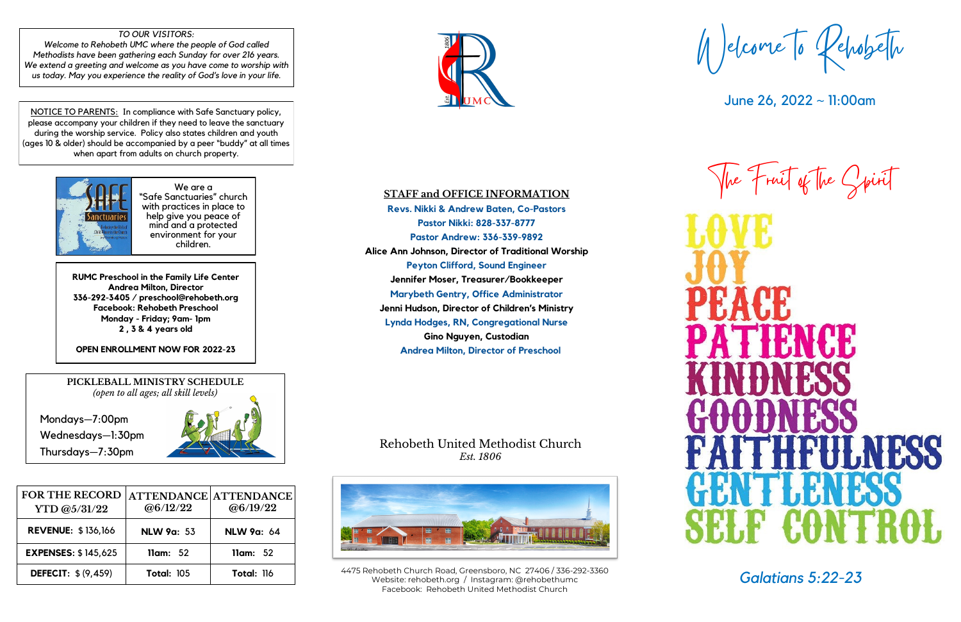# **STAFF and OFFICE INFORMATION**

**Revs. Nikki & Andrew Baten, Co-Pastors Pastor Nikki: 828-337-8777 Pastor Andrew: 336-339-9892 Alice Ann Johnson, Director of Traditional Worship Peyton Clifford, Sound Engineer Jennifer Moser, Treasurer/Bookkeeper Marybeth Gentry, Office Administrator Jenni Hudson, Director of Children's Ministry Lynda Hodges, RN, Congregational Nurse Gino Nguyen, Custodian Andrea Milton, Director of Preschool** 

# Rehobeth United Methodist Church *Est. 1806*



Welcome to Rehobeth

June 26, 2022 ~ 11:00am





*Galatians 5:22-23* 4475 Rehobeth Church Road, Greensboro, NC 27406 / 336-292-<sup>3360</sup> Website: rehobeth.org / Instagram: @rehobethumc Facebook: Rehobeth United Methodist Church

We are a "Safe Sanctuaries" church with practices in place to help give you peace of mind and a protected environment for your children.

**RUMC Preschool in the Family Life Center Andrea Milton, Director 336-292-3405 / preschool@rehobeth.org Facebook: Rehobeth Preschool Monday - Friday; 9am- 1pm 2 , 3 & 4 years old**

**OPEN ENROLLMENT NOW FOR 2022-23**

NOTICE TO PARENTS: In compliance with Safe Sanctuary policy, please accompany your children if they need to leave the sanctuary during the worship service. Policy also states children and youth (ages 10 & older) should be accompanied by a peer "buddy" at all times when apart from adults on church property.



#### *TO OUR VISITORS:*

*Welcome to Rehobeth UMC where the people of God called Methodists have been gathering each Sunday for over 216 years. We extend a greeting and welcome as you have come to worship with us today. May you experience the reality of God's love in your life.*

> **PICKLEBALL MINISTRY SCHEDULE** *(open to all ages; all skill levels)*

Mondays—7:00pm Wednesdays—1:30pm Thursdays—7:30pm



| <b>FOR THE RECORD</b><br>YTD @5/31/22 | ATTENDANCE ATTENDANCE<br>@6/12/22 | @6/19/22          |
|---------------------------------------|-----------------------------------|-------------------|
| <b>REVENUE: \$136,166</b>             | <b>NLW 9a: 53</b>                 | <b>NLW 9a: 64</b> |
| <b>EXPENSES: \$145,625</b>            | llam: 52                          | llam: 52          |
| <b>DEFECIT: \$ (9,459)</b>            | <b>Total: 105</b>                 | <b>Total: 116</b> |